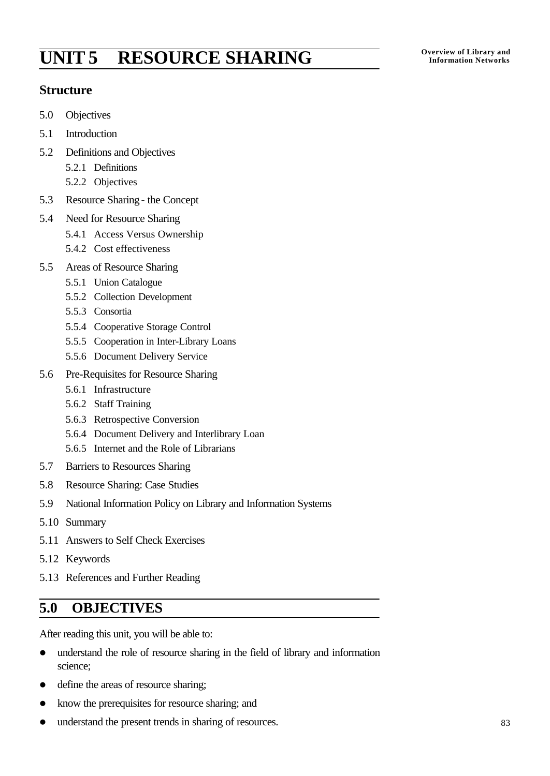# **Overview of Library and UNIT 5 RESOURCE SHARING Information Networks**

### **Structure**

- 5.0 Objectives
- 5.1 Introduction
- 5.2 Definitions and Objectives
	- 5.2.1 Definitions
	- 5.2.2 Objectives
- 5.3 Resource Sharing- the Concept
- 5.4 Need for Resource Sharing
	- 5.4.1 Access Versus Ownership
	- 5.4.2 Cost effectiveness
- 5.5 Areas of Resource Sharing
	- 5.5.1 Union Catalogue
	- 5.5.2 Collection Development
	- 5.5.3 Consortia
	- 5.5.4 Cooperative Storage Control
	- 5.5.5 Cooperation in Inter-Library Loans
	- 5.5.6 Document Delivery Service
- 5.6 Pre-Requisites for Resource Sharing
	- 5.6.1 Infrastructure
	- 5.6.2 Staff Training
	- 5.6.3 Retrospective Conversion
	- 5.6.4 Document Delivery and Interlibrary Loan
	- 5.6.5 Internet and the Role of Librarians
- 5.7 Barriers to Resources Sharing
- 5.8 Resource Sharing: Case Studies
- 5.9 National Information Policy on Library and Information Systems
- 5.10 Summary
- 5.11 Answers to Self Check Exercises
- 5.12 Keywords
- 5.13 References and Further Reading

## **5.0 OBJECTIVES**

After reading this unit, you will be able to:

- understand the role of resource sharing in the field of library and information science;
- define the areas of resource sharing;
- know the prerequisites for resource sharing; and
- understand the present trends in sharing of resources.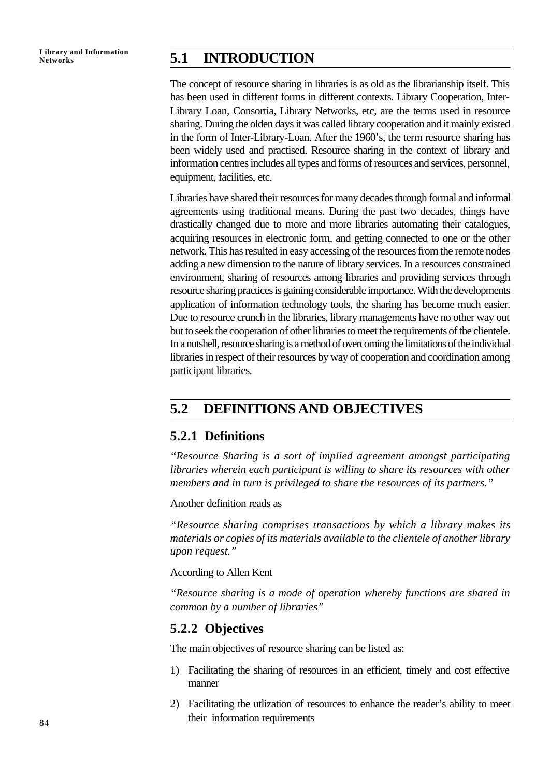### **Networks 5.1 INTRODUCTION**

The concept of resource sharing in libraries is as old as the librarianship itself. This has been used in different forms in different contexts. Library Cooperation, Inter-Library Loan, Consortia, Library Networks, etc, are the terms used in resource sharing. During the olden days it was called library cooperation and it mainly existed in the form of Inter-Library-Loan. After the 1960's, the term resource sharing has been widely used and practised. Resource sharing in the context of library and information centres includes all types and forms of resources and services, personnel, equipment, facilities, etc.

Libraries have shared their resources for many decades through formal and informal agreements using traditional means. During the past two decades, things have drastically changed due to more and more libraries automating their catalogues, acquiring resources in electronic form, and getting connected to one or the other network. This has resulted in easy accessing of the resources from the remote nodes adding a new dimension to the nature of library services. In a resources constrained environment, sharing of resources among libraries and providing services through resource sharing practices is gaining considerable importance. With the developments application of information technology tools, the sharing has become much easier. Due to resource crunch in the libraries, library managements have no other way out but to seek the cooperation of other libraries to meet the requirements of the clientele. In a nutshell, resource sharing is a method of overcoming the limitations of the individual libraries in respect of their resources by way of cooperation and coordination among participant libraries.

## **5.2 DEFINITIONS AND OBJECTIVES**

### **5.2.1 Definitions**

*"Resource Sharing is a sort of implied agreement amongst participating libraries wherein each participant is willing to share its resources with other members and in turn is privileged to share the resources of its partners."*

Another definition reads as

*"Resource sharing comprises transactions by which a library makes its materials or copies of its materials available to the clientele of another library upon request."*

According to Allen Kent

*"Resource sharing is a mode of operation whereby functions are shared in common by a number of libraries"*

### **5.2.2 Objectives**

The main objectives of resource sharing can be listed as:

- 1) Facilitating the sharing of resources in an efficient, timely and cost effective manner
- 2) Facilitating the utlization of resources to enhance the reader's ability to meet their information requirements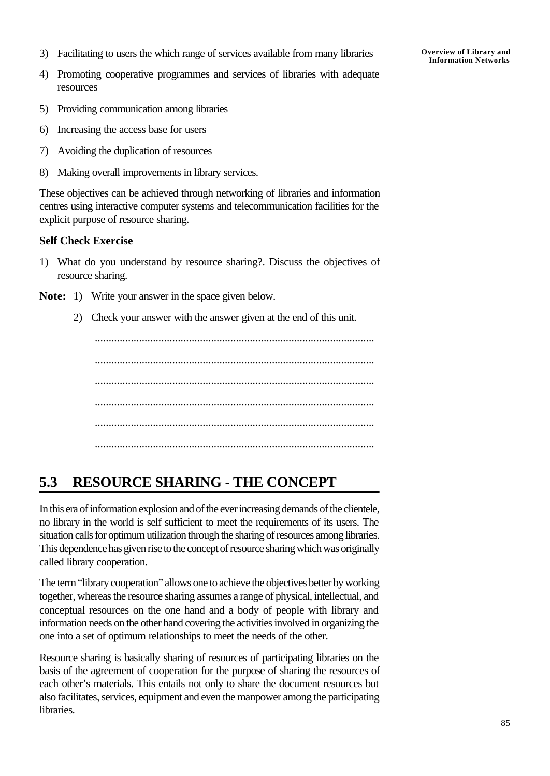- 3) Facilitating to users the which range of services available from many libraries
- 4) Promoting cooperative programmes and services of libraries with adequate resources
- **Overview of Library and Information Networks**

- 5) Providing communication among libraries
- 6) Increasing the access base for users
- 7) Avoiding the duplication of resources
- 8) Making overall improvements in library services.

These objectives can be achieved through networking of libraries and information centres using interactive computer systems and telecommunication facilities for the explicit purpose of resource sharing.

#### **Self Check Exercise**

1) What do you understand by resource sharing?. Discuss the objectives of resource sharing.

**Note:** 1) Write your answer in the space given below.

2) Check your answer with the answer given at the end of this unit.

..................................................................................................... ..................................................................................................... ..................................................................................................... ..................................................................................................... ..................................................................................................... .....................................................................................................

## **5.3 RESOURCE SHARING - THE CONCEPT**

In this era of information explosion and of the ever increasing demands of the clientele, no library in the world is self sufficient to meet the requirements of its users. The situation calls for optimum utilization through the sharing of resources among libraries. This dependence has given rise to the concept of resource sharing which was originally called library cooperation.

The term "library cooperation" allows one to achieve the objectives better by working together, whereas the resource sharing assumes a range of physical, intellectual, and conceptual resources on the one hand and a body of people with library and information needs on the other hand covering the activities involved in organizing the one into a set of optimum relationships to meet the needs of the other.

Resource sharing is basically sharing of resources of participating libraries on the basis of the agreement of cooperation for the purpose of sharing the resources of each other's materials. This entails not only to share the document resources but also facilitates, services, equipment and even the manpower among the participating libraries.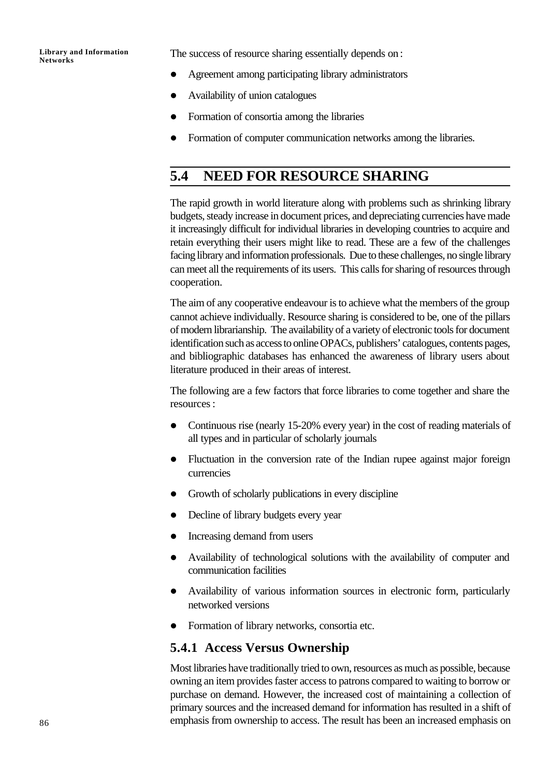The success of resource sharing essentially depends on:

- l Agreement among participating library administrators
- l Availability of union catalogues
- l Formation of consortia among the libraries
- Formation of computer communication networks among the libraries.

### **5.4 NEED FOR RESOURCE SHARING**

The rapid growth in world literature along with problems such as shrinking library budgets, steady increase in document prices, and depreciating currencies have made it increasingly difficult for individual libraries in developing countries to acquire and retain everything their users might like to read. These are a few of the challenges facing library and information professionals. Due to these challenges, no single library can meet all the requirements of its users. This calls for sharing of resources through cooperation.

The aim of any cooperative endeavour is to achieve what the members of the group cannot achieve individually. Resource sharing is considered to be, one of the pillars of modern librarianship. The availability of a variety of electronic tools for document identification such as access to online OPACs, publishers' catalogues, contents pages, and bibliographic databases has enhanced the awareness of library users about literature produced in their areas of interest.

The following are a few factors that force libraries to come together and share the resources:

- Continuous rise (nearly 15-20% every year) in the cost of reading materials of all types and in particular of scholarly journals
- Fluctuation in the conversion rate of the Indian rupee against major foreign currencies
- Growth of scholarly publications in every discipline
- Decline of library budgets every year
- Increasing demand from users
- Availability of technological solutions with the availability of computer and communication facilities
- Availability of various information sources in electronic form, particularly networked versions
- Formation of library networks, consortia etc.

### **5.4.1 Access Versus Ownership**

Most libraries have traditionally tried to own, resources as much as possible, because owning an item provides faster access to patrons compared to waiting to borrow or purchase on demand. However, the increased cost of maintaining a collection of primary sources and the increased demand for information has resulted in a shift of emphasis from ownership to access. The result has been an increased emphasis on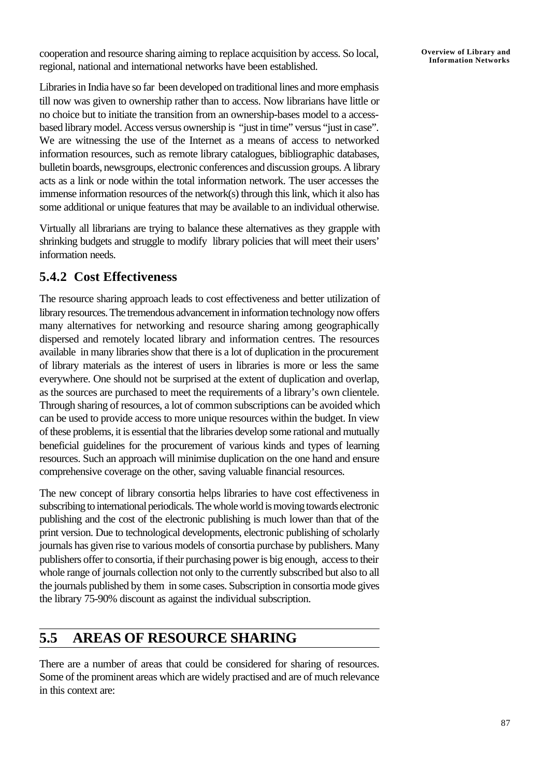cooperation and resource sharing aiming to replace acquisition by access. So local, regional, national and international networks have been established.

Libraries in India have so far been developed on traditional lines and more emphasis till now was given to ownership rather than to access. Now librarians have little or no choice but to initiate the transition from an ownership-bases model to a accessbased library model. Access versus ownership is "just in time" versus "just in case". We are witnessing the use of the Internet as a means of access to networked information resources, such as remote library catalogues, bibliographic databases, bulletin boards, newsgroups, electronic conferences and discussion groups. A library acts as a link or node within the total information network. The user accesses the immense information resources of the network(s) through this link, which it also has some additional or unique features that may be available to an individual otherwise.

Virtually all librarians are trying to balance these alternatives as they grapple with shrinking budgets and struggle to modify library policies that will meet their users' information needs.

### **5.4.2 Cost Effectiveness**

The resource sharing approach leads to cost effectiveness and better utilization of library resources. The tremendous advancement in information technology now offers many alternatives for networking and resource sharing among geographically dispersed and remotely located library and information centres. The resources available in many libraries show that there is a lot of duplication in the procurement of library materials as the interest of users in libraries is more or less the same everywhere. One should not be surprised at the extent of duplication and overlap, as the sources are purchased to meet the requirements of a library's own clientele. Through sharing of resources, a lot of common subscriptions can be avoided which can be used to provide access to more unique resources within the budget. In view of these problems, it is essential that the libraries develop some rational and mutually beneficial guidelines for the procurement of various kinds and types of learning resources. Such an approach will minimise duplication on the one hand and ensure comprehensive coverage on the other, saving valuable financial resources.

The new concept of library consortia helps libraries to have cost effectiveness in subscribing to international periodicals. The whole world is moving towards electronic publishing and the cost of the electronic publishing is much lower than that of the print version. Due to technological developments, electronic publishing of scholarly journals has given rise to various models of consortia purchase by publishers. Many publishers offer to consortia, if their purchasing power is big enough, access to their whole range of journals collection not only to the currently subscribed but also to all the journals published by them in some cases. Subscription in consortia mode gives the library 75-90% discount as against the individual subscription.

## **5.5 AREAS OF RESOURCE SHARING**

There are a number of areas that could be considered for sharing of resources. Some of the prominent areas which are widely practised and are of much relevance in this context are: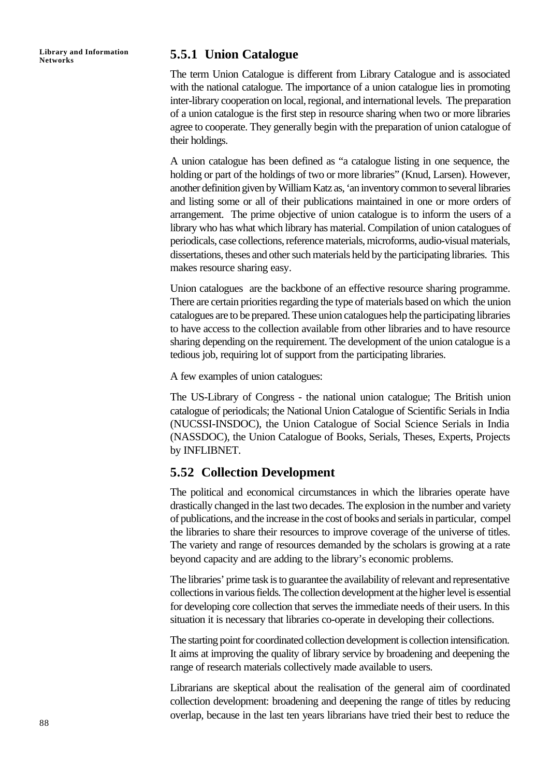### **Networks 5.5.1 Union Catalogue**

The term Union Catalogue is different from Library Catalogue and is associated with the national catalogue. The importance of a union catalogue lies in promoting inter-library cooperation on local, regional, and international levels. The preparation of a union catalogue is the first step in resource sharing when two or more libraries agree to cooperate. They generally begin with the preparation of union catalogue of their holdings.

A union catalogue has been defined as "a catalogue listing in one sequence, the holding or part of the holdings of two or more libraries" (Knud, Larsen). However, another definition given by William Katz as, 'an inventory common to several libraries and listing some or all of their publications maintained in one or more orders of arrangement. The prime objective of union catalogue is to inform the users of a library who has what which library has material. Compilation of union catalogues of periodicals, case collections, reference materials, microforms, audio-visual materials, dissertations, theses and other such materials held by the participating libraries. This makes resource sharing easy.

Union catalogues are the backbone of an effective resource sharing programme. There are certain priorities regarding the type of materials based on which the union catalogues are to be prepared. These union catalogues help the participating libraries to have access to the collection available from other libraries and to have resource sharing depending on the requirement. The development of the union catalogue is a tedious job, requiring lot of support from the participating libraries.

A few examples of union catalogues:

The US-Library of Congress - the national union catalogue; The British union catalogue of periodicals; the National Union Catalogue of Scientific Serials in India (NUCSSI-INSDOC), the Union Catalogue of Social Science Serials in India (NASSDOC), the Union Catalogue of Books, Serials, Theses, Experts, Projects by INFLIBNET.

### **5.52 Collection Development**

The political and economical circumstances in which the libraries operate have drastically changed in the last two decades. The explosion in the number and variety of publications, and the increase in the cost of books and serials in particular, compel the libraries to share their resources to improve coverage of the universe of titles. The variety and range of resources demanded by the scholars is growing at a rate beyond capacity and are adding to the library's economic problems.

The libraries' prime task is to guarantee the availability of relevant and representative collections in various fields. The collection development at the higher level is essential for developing core collection that serves the immediate needs of their users. In this situation it is necessary that libraries co-operate in developing their collections.

The starting point for coordinated collection development is collection intensification. It aims at improving the quality of library service by broadening and deepening the range of research materials collectively made available to users.

Librarians are skeptical about the realisation of the general aim of coordinated collection development: broadening and deepening the range of titles by reducing overlap, because in the last ten years librarians have tried their best to reduce the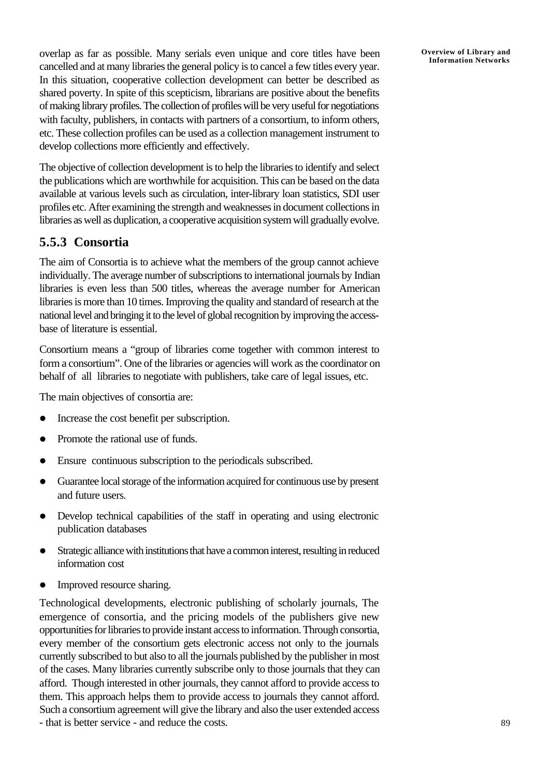overlap as far as possible. Many serials even unique and core titles have been cancelled and at many libraries the general policy is to cancel a few titles every year. In this situation, cooperative collection development can better be described as shared poverty. In spite of this scepticism, librarians are positive about the benefits of making library profiles. The collection of profiles will be very useful for negotiations with faculty, publishers, in contacts with partners of a consortium, to inform others, etc. These collection profiles can be used as a collection management instrument to develop collections more efficiently and effectively.

The objective of collection development is to help the libraries to identify and select the publications which are worthwhile for acquisition. This can be based on the data available at various levels such as circulation, inter-library loan statistics, SDI user profiles etc. After examining the strength and weaknesses in document collections in libraries as well as duplication, a cooperative acquisition system will gradually evolve.

### **5.5.3 Consortia**

The aim of Consortia is to achieve what the members of the group cannot achieve individually. The average number of subscriptions to international journals by Indian libraries is even less than 500 titles, whereas the average number for American libraries is more than 10 times. Improving the quality and standard of research at the national level and bringing it to the level of global recognition by improving the accessbase of literature is essential.

Consortium means a "group of libraries come together with common interest to form a consortium". One of the libraries or agencies will work as the coordinator on behalf of all libraries to negotiate with publishers, take care of legal issues, etc.

The main objectives of consortia are:

- Increase the cost benefit per subscription.
- Promote the rational use of funds.
- Ensure continuous subscription to the periodicals subscribed.
- l Guarantee local storage of the information acquired for continuous use by present and future users.
- Develop technical capabilities of the staff in operating and using electronic publication databases
- Strategic alliance with institutions that have a common interest, resulting in reduced information cost
- Improved resource sharing.

Technological developments, electronic publishing of scholarly journals, The emergence of consortia, and the pricing models of the publishers give new opportunities for libraries to provide instant access to information. Through consortia, every member of the consortium gets electronic access not only to the journals currently subscribed to but also to all the journals published by the publisher in most of the cases. Many libraries currently subscribe only to those journals that they can afford. Though interested in other journals, they cannot afford to provide access to them. This approach helps them to provide access to journals they cannot afford. Such a consortium agreement will give the library and also the user extended access - that is better service - and reduce the costs.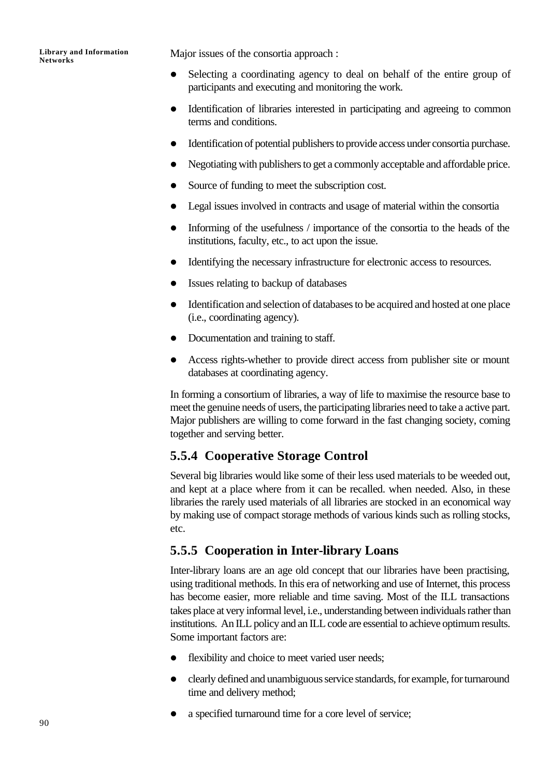Major issues of the consortia approach :

- Selecting a coordinating agency to deal on behalf of the entire group of participants and executing and monitoring the work.
- Identification of libraries interested in participating and agreeing to common terms and conditions.
- l Identification of potential publishers to provide access under consortia purchase.
- Negotiating with publishers to get a commonly acceptable and affordable price.
- Source of funding to meet the subscription cost.
- Legal issues involved in contracts and usage of material within the consortia
- Informing of the usefulness / importance of the consortia to the heads of the institutions, faculty, etc., to act upon the issue.
- Identifying the necessary infrastructure for electronic access to resources.
- Issues relating to backup of databases
- Identification and selection of databases to be acquired and hosted at one place (i.e., coordinating agency).
- Documentation and training to staff.
- Access rights-whether to provide direct access from publisher site or mount databases at coordinating agency.

In forming a consortium of libraries, a way of life to maximise the resource base to meet the genuine needs of users, the participating libraries need to take a active part. Major publishers are willing to come forward in the fast changing society, coming together and serving better.

### **5.5.4 Cooperative Storage Control**

Several big libraries would like some of their less used materials to be weeded out, and kept at a place where from it can be recalled. when needed. Also, in these libraries the rarely used materials of all libraries are stocked in an economical way by making use of compact storage methods of various kinds such as rolling stocks, etc.

### **5.5.5 Cooperation in Inter-library Loans**

Inter-library loans are an age old concept that our libraries have been practising, using traditional methods. In this era of networking and use of Internet, this process has become easier, more reliable and time saving. Most of the ILL transactions takes place at very informal level, i.e., understanding between individuals rather than institutions. An ILL policy and an ILL code are essential to achieve optimum results. Some important factors are:

- flexibility and choice to meet varied user needs;
- clearly defined and unambiguous service standards, for example, for turnaround time and delivery method;
- a specified turnaround time for a core level of service;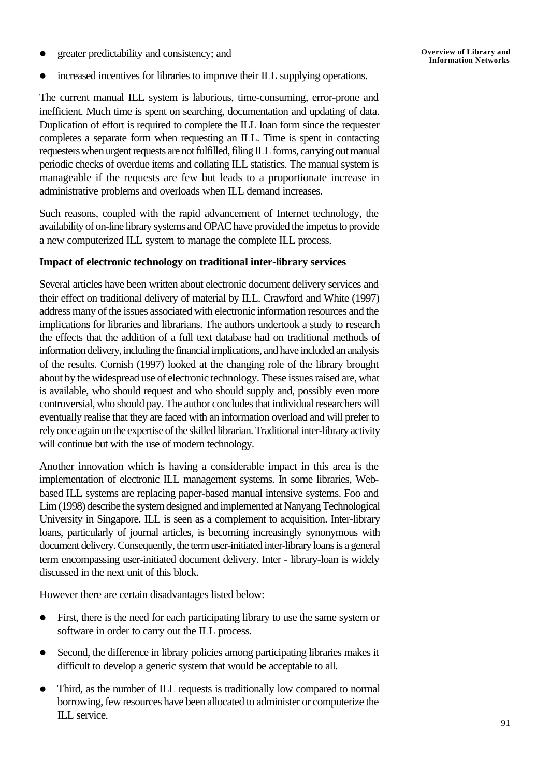l greater predictability and consistency; and

increased incentives for libraries to improve their ILL supplying operations.

The current manual ILL system is laborious, time-consuming, error-prone and inefficient. Much time is spent on searching, documentation and updating of data. Duplication of effort is required to complete the ILL loan form since the requester completes a separate form when requesting an ILL. Time is spent in contacting requesters when urgent requests are not fulfilled, filing ILL forms, carrying out manual periodic checks of overdue items and collating ILL statistics. The manual system is manageable if the requests are few but leads to a proportionate increase in administrative problems and overloads when ILL demand increases.

Such reasons, coupled with the rapid advancement of Internet technology, the availability of on-line library systems and OPAC have provided the impetus to provide a new computerized ILL system to manage the complete ILL process.

#### **Impact of electronic technology on traditional inter-library services**

Several articles have been written about electronic document delivery services and their effect on traditional delivery of material by ILL. Crawford and White (1997) address many of the issues associated with electronic information resources and the implications for libraries and librarians. The authors undertook a study to research the effects that the addition of a full text database had on traditional methods of information delivery, including the financial implications, and have included an analysis of the results. Cornish (1997) looked at the changing role of the library brought about by the widespread use of electronic technology. These issues raised are, what is available, who should request and who should supply and, possibly even more controversial, who should pay. The author concludes that individual researchers will eventually realise that they are faced with an information overload and will prefer to rely once again on the expertise of the skilled librarian. Traditional inter-library activity will continue but with the use of modern technology.

Another innovation which is having a considerable impact in this area is the implementation of electronic ILL management systems. In some libraries, Webbased ILL systems are replacing paper-based manual intensive systems. Foo and Lim (1998) describe the system designed and implemented at Nanyang Technological University in Singapore. ILL is seen as a complement to acquisition. Inter-library loans, particularly of journal articles, is becoming increasingly synonymous with document delivery. Consequently, the term user-initiated inter-library loans is a general term encompassing user-initiated document delivery. Inter - library-loan is widely discussed in the next unit of this block.

However there are certain disadvantages listed below:

- First, there is the need for each participating library to use the same system or software in order to carry out the ILL process.
- Second, the difference in library policies among participating libraries makes it difficult to develop a generic system that would be acceptable to all.
- Third, as the number of ILL requests is traditionally low compared to normal borrowing, few resources have been allocated to administer or computerize the ILL service.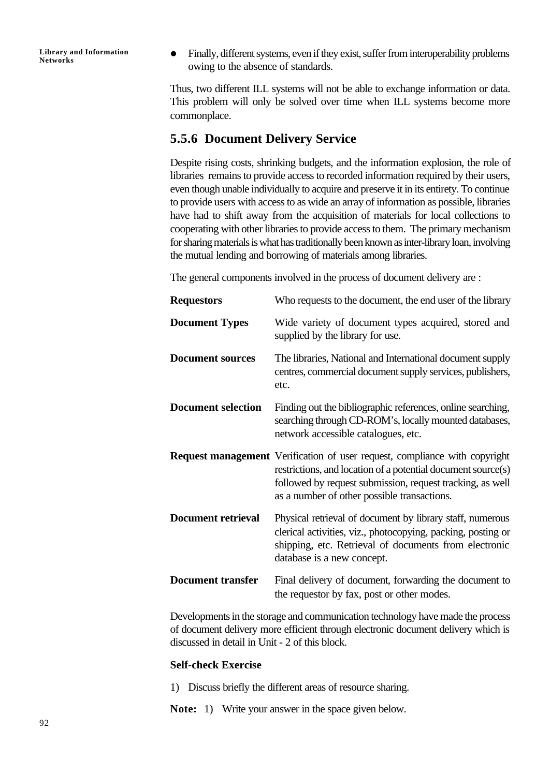• Finally, different systems, even if they exist, suffer from interoperability problems owing to the absence of standards.

Thus, two different ILL systems will not be able to exchange information or data. This problem will only be solved over time when ILL systems become more commonplace.

### **5.5.6 Document Delivery Service**

Despite rising costs, shrinking budgets, and the information explosion, the role of libraries remains to provide access to recorded information required by their users, even though unable individually to acquire and preserve it in its entirety. To continue to provide users with access to as wide an array of information as possible, libraries have had to shift away from the acquisition of materials for local collections to cooperating with other libraries to provide access to them. The primary mechanism for sharing materials is what has traditionally been known as inter-library loan, involving the mutual lending and borrowing of materials among libraries.

The general components involved in the process of document delivery are :

| <b>Requestors</b>         | Who requests to the document, the end user of the library                                                                                                                                                                                                     |
|---------------------------|---------------------------------------------------------------------------------------------------------------------------------------------------------------------------------------------------------------------------------------------------------------|
| <b>Document Types</b>     | Wide variety of document types acquired, stored and<br>supplied by the library for use.                                                                                                                                                                       |
| <b>Document sources</b>   | The libraries, National and International document supply<br>centres, commercial document supply services, publishers,<br>etc.                                                                                                                                |
| <b>Document selection</b> | Finding out the bibliographic references, online searching,<br>searching through CD-ROM's, locally mounted databases,<br>network accessible catalogues, etc.                                                                                                  |
|                           | <b>Request management</b> Verification of user request, compliance with copyright<br>restrictions, and location of a potential document source(s)<br>followed by request submission, request tracking, as well<br>as a number of other possible transactions. |
| <b>Document retrieval</b> | Physical retrieval of document by library staff, numerous<br>clerical activities, viz., photocopying, packing, posting or<br>shipping, etc. Retrieval of documents from electronic<br>database is a new concept.                                              |
| <b>Document transfer</b>  | Final delivery of document, forwarding the document to<br>the requestor by fax, post or other modes.                                                                                                                                                          |

Developments in the storage and communication technology have made the process of document delivery more efficient through electronic document delivery which is discussed in detail in Unit - 2 of this block.

#### **Self-check Exercise**

- 1) Discuss briefly the different areas of resource sharing.
- **Note:** 1) Write your answer in the space given below.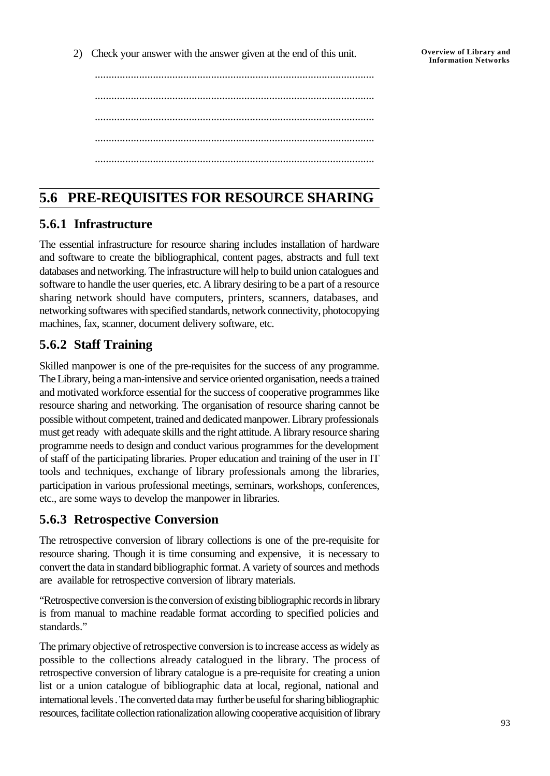2) Check your answer with the answer given at the end of this unit.

..................................................................................................... ..................................................................................................... ..................................................................................................... ..................................................................................................... .....................................................................................................

## **5.6 PRE-REQUISITES FOR RESOURCE SHARING**

### **5.6.1 Infrastructure**

The essential infrastructure for resource sharing includes installation of hardware and software to create the bibliographical, content pages, abstracts and full text databases and networking. The infrastructure will help to build union catalogues and software to handle the user queries, etc. A library desiring to be a part of a resource sharing network should have computers, printers, scanners, databases, and networking softwares with specified standards, network connectivity, photocopying machines, fax, scanner, document delivery software, etc.

### **5.6.2 Staff Training**

Skilled manpower is one of the pre-requisites for the success of any programme. The Library, being a man-intensive and service oriented organisation, needs a trained and motivated workforce essential for the success of cooperative programmes like resource sharing and networking. The organisation of resource sharing cannot be possible without competent, trained and dedicated manpower. Library professionals must get ready with adequate skills and the right attitude. A library resource sharing programme needs to design and conduct various programmes for the development of staff of the participating libraries. Proper education and training of the user in IT tools and techniques, exchange of library professionals among the libraries, participation in various professional meetings, seminars, workshops, conferences, etc., are some ways to develop the manpower in libraries.

### **5.6.3 Retrospective Conversion**

The retrospective conversion of library collections is one of the pre-requisite for resource sharing. Though it is time consuming and expensive, it is necessary to convert the data in standard bibliographic format. A variety of sources and methods are available for retrospective conversion of library materials.

"Retrospective conversion is the conversion of existing bibliographic records in library is from manual to machine readable format according to specified policies and standards."

The primary objective of retrospective conversion is to increase access as widely as possible to the collections already catalogued in the library. The process of retrospective conversion of library catalogue is a pre-requisite for creating a union list or a union catalogue of bibliographic data at local, regional, national and international levels . The converted data may further be useful for sharing bibliographic resources, facilitate collection rationalization allowing cooperative acquisition of library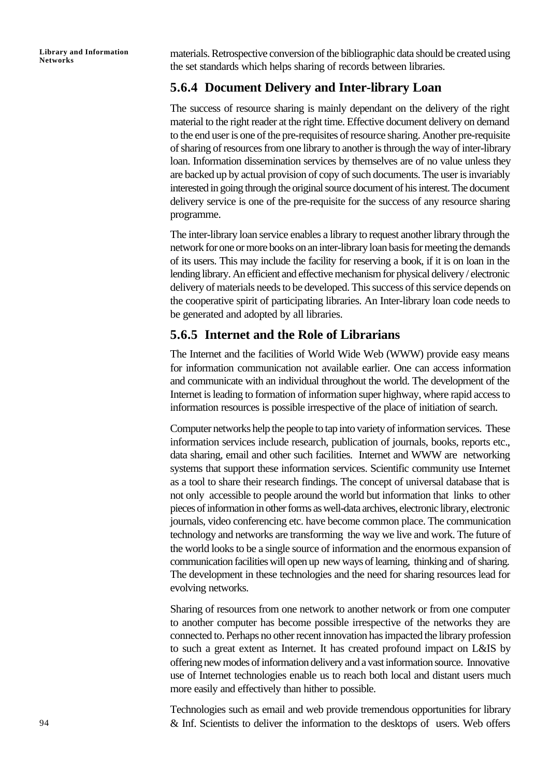materials. Retrospective conversion of the bibliographic data should be created using the set standards which helps sharing of records between libraries.

### **5.6.4 Document Delivery and Inter-library Loan**

The success of resource sharing is mainly dependant on the delivery of the right material to the right reader at the right time. Effective document delivery on demand to the end user is one of the pre-requisites of resource sharing. Another pre-requisite of sharing of resources from one library to another is through the way of inter-library loan. Information dissemination services by themselves are of no value unless they are backed up by actual provision of copy of such documents. The user is invariably interested in going through the original source document of his interest. The document delivery service is one of the pre-requisite for the success of any resource sharing programme.

The inter-library loan service enables a library to request another library through the network for one or more books on an inter-library loan basis for meeting the demands of its users. This may include the facility for reserving a book, if it is on loan in the lending library. An efficient and effective mechanism for physical delivery / electronic delivery of materials needs to be developed. This success of this service depends on the cooperative spirit of participating libraries. An Inter-library loan code needs to be generated and adopted by all libraries.

### **5.6.5 Internet and the Role of Librarians**

The Internet and the facilities of World Wide Web (WWW) provide easy means for information communication not available earlier. One can access information and communicate with an individual throughout the world. The development of the Internet is leading to formation of information super highway, where rapid access to information resources is possible irrespective of the place of initiation of search.

Computer networks help the people to tap into variety of information services. These information services include research, publication of journals, books, reports etc., data sharing, email and other such facilities. Internet and WWW are networking systems that support these information services. Scientific community use Internet as a tool to share their research findings. The concept of universal database that is not only accessible to people around the world but information that links to other pieces of information in other forms as well-data archives, electronic library, electronic journals, video conferencing etc. have become common place. The communication technology and networks are transforming the way we live and work. The future of the world looks to be a single source of information and the enormous expansion of communication facilities will open up new ways of learning, thinking and of sharing. The development in these technologies and the need for sharing resources lead for evolving networks.

Sharing of resources from one network to another network or from one computer to another computer has become possible irrespective of the networks they are connected to. Perhaps no other recent innovation has impacted the library profession to such a great extent as Internet. It has created profound impact on L&IS by offering new modes of information delivery and a vast information source. Innovative use of Internet technologies enable us to reach both local and distant users much more easily and effectively than hither to possible.

Technologies such as email and web provide tremendous opportunities for library & Inf. Scientists to deliver the information to the desktops of users. Web offers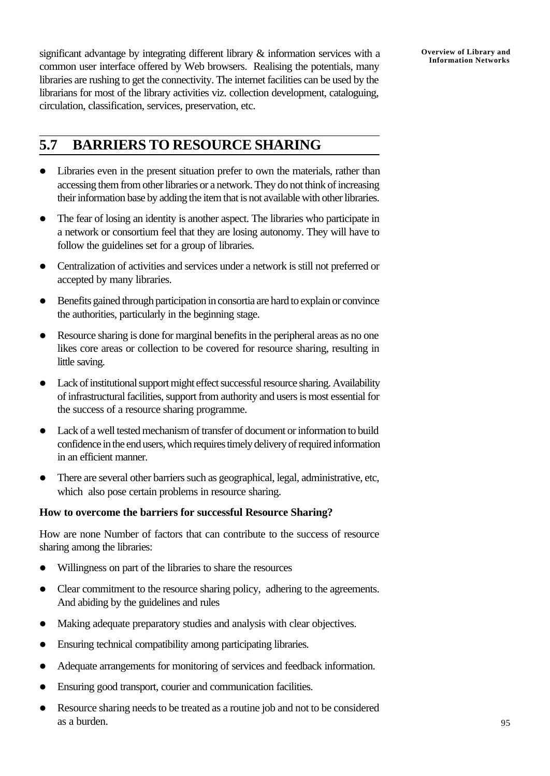significant advantage by integrating different library & information services with a common user interface offered by Web browsers. Realising the potentials, many libraries are rushing to get the connectivity. The internet facilities can be used by the librarians for most of the library activities viz. collection development, cataloguing, circulation, classification, services, preservation, etc.

### **5.7 BARRIERS TO RESOURCE SHARING**

- Libraries even in the present situation prefer to own the materials, rather than accessing them from other libraries or a network. They do not think of increasing their information base by adding the item that is not available with other libraries.
- The fear of losing an identity is another aspect. The libraries who participate in a network or consortium feel that they are losing autonomy. They will have to follow the guidelines set for a group of libraries.
- Centralization of activities and services under a network is still not preferred or accepted by many libraries.
- l Benefits gained through participation in consortia are hard to explain or convince the authorities, particularly in the beginning stage.
- Resource sharing is done for marginal benefits in the peripheral areas as no one likes core areas or collection to be covered for resource sharing, resulting in little saving.
- Lack of institutional support might effect successful resource sharing. Availability of infrastructural facilities, support from authority and users is most essential for the success of a resource sharing programme.
- Lack of a well tested mechanism of transfer of document or information to build confidence in the end users, which requires timely delivery of required information in an efficient manner.
- l There are several other barriers such as geographical, legal, administrative, etc, which also pose certain problems in resource sharing.

#### **How to overcome the barriers for successful Resource Sharing?**

How are none Number of factors that can contribute to the success of resource sharing among the libraries:

- Willingness on part of the libraries to share the resources
- Clear commitment to the resource sharing policy, adhering to the agreements. And abiding by the guidelines and rules
- Making adequate preparatory studies and analysis with clear objectives.
- Ensuring technical compatibility among participating libraries.
- Adequate arrangements for monitoring of services and feedback information.
- Ensuring good transport, courier and communication facilities.
- Resource sharing needs to be treated as a routine job and not to be considered as a burden.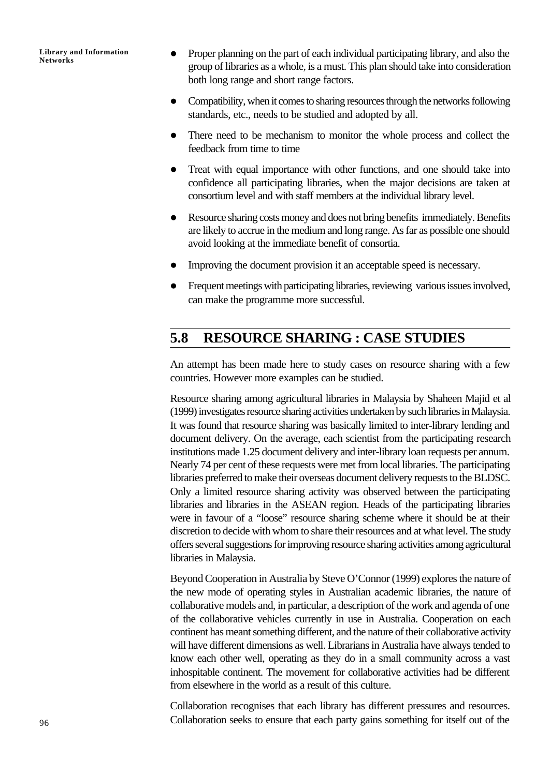- Proper planning on the part of each individual participating library, and also the group of libraries as a whole, is a must. This plan should take into consideration both long range and short range factors.
- Compatibility, when it comes to sharing resources through the networks following standards, etc., needs to be studied and adopted by all.
- There need to be mechanism to monitor the whole process and collect the feedback from time to time
- Treat with equal importance with other functions, and one should take into confidence all participating libraries, when the major decisions are taken at consortium level and with staff members at the individual library level.
- Resource sharing costs money and does not bring benefits immediately. Benefits are likely to accrue in the medium and long range. As far as possible one should avoid looking at the immediate benefit of consortia.
- Improving the document provision it an acceptable speed is necessary.
- Frequent meetings with participating libraries, reviewing various issues involved, can make the programme more successful.

## **5.8 RESOURCE SHARING : CASE STUDIES**

An attempt has been made here to study cases on resource sharing with a few countries. However more examples can be studied.

Resource sharing among agricultural libraries in Malaysia by Shaheen Majid et al (1999) investigates resource sharing activities undertaken by such libraries in Malaysia. It was found that resource sharing was basically limited to inter-library lending and document delivery. On the average, each scientist from the participating research institutions made 1.25 document delivery and inter-library loan requests per annum. Nearly 74 per cent of these requests were met from local libraries. The participating libraries preferred to make their overseas document delivery requests to the BLDSC. Only a limited resource sharing activity was observed between the participating libraries and libraries in the ASEAN region. Heads of the participating libraries were in favour of a "loose" resource sharing scheme where it should be at their discretion to decide with whom to share their resources and at what level. The study offers several suggestions for improving resource sharing activities among agricultural libraries in Malaysia.

Beyond Cooperation in Australia by Steve O'Connor (1999) explores the nature of the new mode of operating styles in Australian academic libraries, the nature of collaborative models and, in particular, a description of the work and agenda of one of the collaborative vehicles currently in use in Australia. Cooperation on each continent has meant something different, and the nature of their collaborative activity will have different dimensions as well. Librarians in Australia have always tended to know each other well, operating as they do in a small community across a vast inhospitable continent. The movement for collaborative activities had be different from elsewhere in the world as a result of this culture.

Collaboration recognises that each library has different pressures and resources. Collaboration seeks to ensure that each party gains something for itself out of the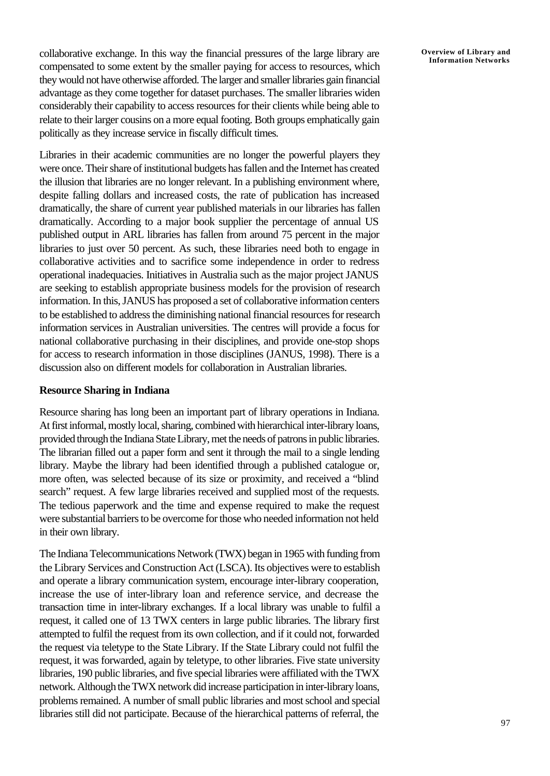collaborative exchange. In this way the financial pressures of the large library are compensated to some extent by the smaller paying for access to resources, which they would not have otherwise afforded. The larger and smaller libraries gain financial advantage as they come together for dataset purchases. The smaller libraries widen considerably their capability to access resources for their clients while being able to relate to their larger cousins on a more equal footing. Both groups emphatically gain politically as they increase service in fiscally difficult times.

Libraries in their academic communities are no longer the powerful players they were once. Their share of institutional budgets has fallen and the Internet has created the illusion that libraries are no longer relevant. In a publishing environment where, despite falling dollars and increased costs, the rate of publication has increased dramatically, the share of current year published materials in our libraries has fallen dramatically. According to a major book supplier the percentage of annual US published output in ARL libraries has fallen from around 75 percent in the major libraries to just over 50 percent. As such, these libraries need both to engage in collaborative activities and to sacrifice some independence in order to redress operational inadequacies. Initiatives in Australia such as the major project JANUS are seeking to establish appropriate business models for the provision of research information. In this, JANUS has proposed a set of collaborative information centers to be established to address the diminishing national financial resources for research information services in Australian universities. The centres will provide a focus for national collaborative purchasing in their disciplines, and provide one-stop shops for access to research information in those disciplines (JANUS, 1998). There is a discussion also on different models for collaboration in Australian libraries.

#### **Resource Sharing in Indiana**

Resource sharing has long been an important part of library operations in Indiana. At first informal, mostly local, sharing, combined with hierarchical inter-library loans, provided through the Indiana State Library, met the needs of patrons in public libraries. The librarian filled out a paper form and sent it through the mail to a single lending library. Maybe the library had been identified through a published catalogue or, more often, was selected because of its size or proximity, and received a "blind search" request. A few large libraries received and supplied most of the requests. The tedious paperwork and the time and expense required to make the request were substantial barriers to be overcome for those who needed information not held in their own library.

The Indiana Telecommunications Network (TWX) began in 1965 with funding from the Library Services and Construction Act (LSCA). Its objectives were to establish and operate a library communication system, encourage inter-library cooperation, increase the use of inter-library loan and reference service, and decrease the transaction time in inter-library exchanges. If a local library was unable to fulfil a request, it called one of 13 TWX centers in large public libraries. The library first attempted to fulfil the request from its own collection, and if it could not, forwarded the request via teletype to the State Library. If the State Library could not fulfil the request, it was forwarded, again by teletype, to other libraries. Five state university libraries, 190 public libraries, and five special libraries were affiliated with the TWX network. Although the TWX network did increase participation in inter-library loans, problems remained. A number of small public libraries and most school and special libraries still did not participate. Because of the hierarchical patterns of referral, the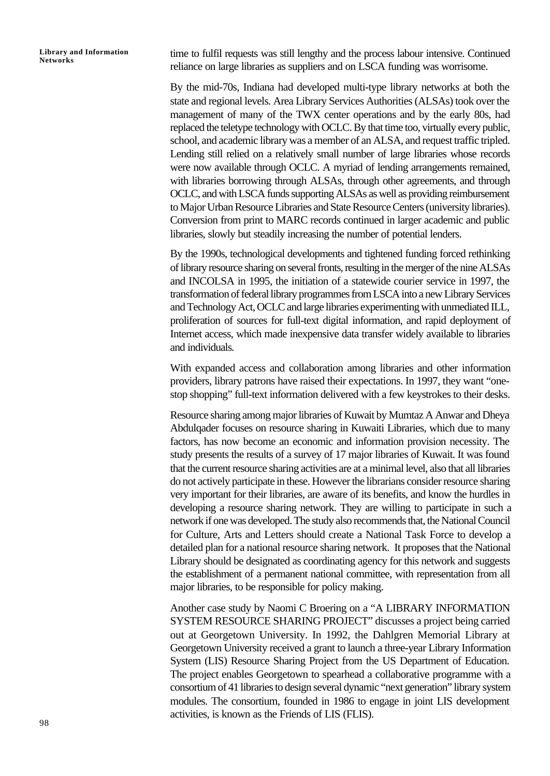time to fulfil requests was still lengthy and the process labour intensive. Continued reliance on large libraries as suppliers and on LSCA funding was worrisome.

By the mid-70s, Indiana had developed multi-type library networks at both the state and regional levels. Area Library Services Authorities (ALSAs) took over the management of many of the TWX center operations and by the early 80s, had replaced the teletype technology with OCLC. By that time too, virtually every public, school, and academic library was a member of an ALSA, and request traffic tripled. Lending still relied on a relatively small number of large libraries whose records were now available through OCLC. A myriad of lending arrangements remained, with libraries borrowing through ALSAs, through other agreements, and through OCLC, and with LSCA funds supporting ALSAs as well as providing reimbursement to Major Urban Resource Libraries and State Resource Centers (university libraries). Conversion from print to MARC records continued in larger academic and public libraries, slowly but steadily increasing the number of potential lenders.

By the 1990s, technological developments and tightened funding forced rethinking of library resource sharing on several fronts, resulting in the merger of the nine ALSAs and INCOLSA in 1995, the initiation of a statewide courier service in 1997, the transformation of federal library programmes from LSCA into a new Library Services and Technology Act, OCLC and large libraries experimenting with unmediated ILL, proliferation of sources for full-text digital information, and rapid deployment of Internet access, which made inexpensive data transfer widely available to libraries and individuals.

With expanded access and collaboration among libraries and other information providers, library patrons have raised their expectations. In 1997, they want "onestop shopping" full-text information delivered with a few keystrokes to their desks.

Resource sharing among major libraries of Kuwait by Mumtaz A Anwar and Dheya Abdulqader focuses on resource sharing in Kuwaiti Libraries, which due to many factors, has now become an economic and information provision necessity. The study presents the results of a survey of 17 major libraries of Kuwait. It was found that the current resource sharing activities are at a minimal level, also that all libraries do not actively participate in these. However the librarians consider resource sharing very important for their libraries, are aware of its benefits, and know the hurdles in developing a resource sharing network. They are willing to participate in such a network if one was developed. The study also recommends that, the National Council for Culture, Arts and Letters should create a National Task Force to develop a detailed plan for a national resource sharing network. It proposes that the National Library should be designated as coordinating agency for this network and suggests the establishment of a permanent national committee, with representation from all major libraries, to be responsible for policy making.

Another case study by Naomi C Broering on a "A LIBRARY INFORMATION SYSTEM RESOURCE SHARING PROJECT" discusses a project being carried out at Georgetown University. In 1992, the Dahlgren Memorial Library at Georgetown University received a grant to launch a three-year Library Information System (LIS) Resource Sharing Project from the US Department of Education. The project enables Georgetown to spearhead a collaborative programme with a consortium of 41 libraries to design several dynamic "next generation" library system modules. The consortium, founded in 1986 to engage in joint LIS development activities, is known as the Friends of LIS (FLIS).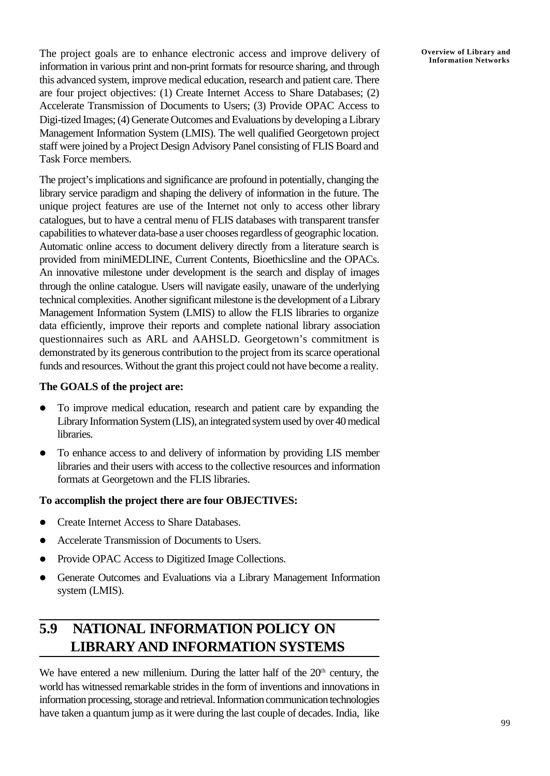The project goals are to enhance electronic access and improve delivery of information in various print and non-print formats for resource sharing, and through this advanced system, improve medical education, research and patient care. There are four project objectives: (1) Create Internet Access to Share Databases; (2) Accelerate Transmission of Documents to Users; (3) Provide OPAC Access to Digi-tized Images; (4) Generate Outcomes and Evaluations by developing a Library Management Information System (LMIS). The well qualified Georgetown project staff were joined by a Project Design Advisory Panel consisting of FLIS Board and Task Force members.

The project's implications and significance are profound in potentially, changing the library service paradigm and shaping the delivery of information in the future. The unique project features are use of the Internet not only to access other library catalogues, but to have a central menu of FLIS databases with transparent transfer capabilities to whatever data-base a user chooses regardless of geographic location. Automatic online access to document delivery directly from a literature search is provided from miniMEDLINE, Current Contents, Bioethicsline and the OPACs. An innovative milestone under development is the search and display of images through the online catalogue. Users will navigate easily, unaware of the underlying technical complexities. Another significant milestone is the development of a Library Management Information System (LMIS) to allow the FLIS libraries to organize data efficiently, improve their reports and complete national library association questionnaires such as ARL and AAHSLD. Georgetown's commitment is demonstrated by its generous contribution to the project from its scarce operational funds and resources. Without the grant this project could not have become a reality.

#### **The GOALS of the project are:**

- To improve medical education, research and patient care by expanding the Library Information System (LIS), an integrated system used by over 40 medical libraries.
- To enhance access to and delivery of information by providing LIS member libraries and their users with access to the collective resources and information formats at Georgetown and the FLIS libraries.

#### **To accomplish the project there are four OBJECTIVES:**

- Create Internet Access to Share Databases.
- Accelerate Transmission of Documents to Users.
- Provide OPAC Access to Digitized Image Collections.
- Generate Outcomes and Evaluations via a Library Management Information system (LMIS).

## **5.9 NATIONAL INFORMATION POLICY ON LIBRARYAND INFORMATION SYSTEMS**

We have entered a new millenium. During the latter half of the  $20<sup>th</sup>$  century, the world has witnessed remarkable strides in the form of inventions and innovations in information processing, storage and retrieval. Information communication technologies have taken a quantum jump as it were during the last couple of decades. India, like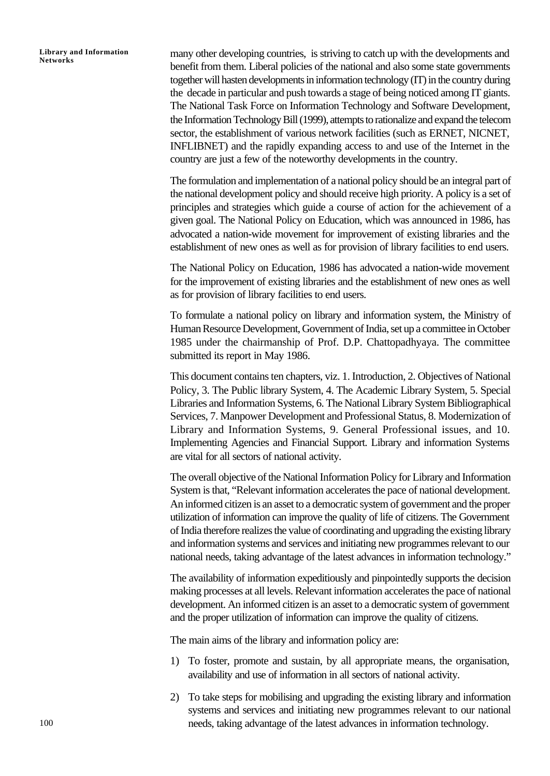many other developing countries, is striving to catch up with the developments and benefit from them. Liberal policies of the national and also some state governments together will hasten developments in information technology (IT) in the country during the decade in particular and push towards a stage of being noticed among IT giants. The National Task Force on Information Technology and Software Development, the Information Technology Bill (1999), attempts to rationalize and expand the telecom sector, the establishment of various network facilities (such as ERNET, NICNET, INFLIBNET) and the rapidly expanding access to and use of the Internet in the country are just a few of the noteworthy developments in the country.

The formulation and implementation of a national policy should be an integral part of the national development policy and should receive high priority. A policy is a set of principles and strategies which guide a course of action for the achievement of a given goal. The National Policy on Education, which was announced in 1986, has advocated a nation-wide movement for improvement of existing libraries and the establishment of new ones as well as for provision of library facilities to end users.

The National Policy on Education, 1986 has advocated a nation-wide movement for the improvement of existing libraries and the establishment of new ones as well as for provision of library facilities to end users.

To formulate a national policy on library and information system, the Ministry of Human Resource Development, Government of India, set up a committee in October 1985 under the chairmanship of Prof. D.P. Chattopadhyaya. The committee submitted its report in May 1986.

This document contains ten chapters, viz. 1. Introduction, 2. Objectives of National Policy, 3. The Public library System, 4. The Academic Library System, 5. Special Libraries and Information Systems, 6. The National Library System Bibliographical Services, 7. Manpower Development and Professional Status, 8. Modernization of Library and Information Systems, 9. General Professional issues, and 10. Implementing Agencies and Financial Support. Library and information Systems are vital for all sectors of national activity.

The overall objective of the National Information Policy for Library and Information System is that, "Relevant information accelerates the pace of national development. An informed citizen is an asset to a democratic system of government and the proper utilization of information can improve the quality of life of citizens. The Government of India therefore realizes the value of coordinating and upgrading the existing library and information systems and services and initiating new programmes relevant to our national needs, taking advantage of the latest advances in information technology."

The availability of information expeditiously and pinpointedly supports the decision making processes at all levels. Relevant information accelerates the pace of national development. An informed citizen is an asset to a democratic system of government and the proper utilization of information can improve the quality of citizens.

The main aims of the library and information policy are:

- 1) To foster, promote and sustain, by all appropriate means, the organisation, availability and use of information in all sectors of national activity.
- 2) To take steps for mobilising and upgrading the existing library and information systems and services and initiating new programmes relevant to our national needs, taking advantage of the latest advances in information technology.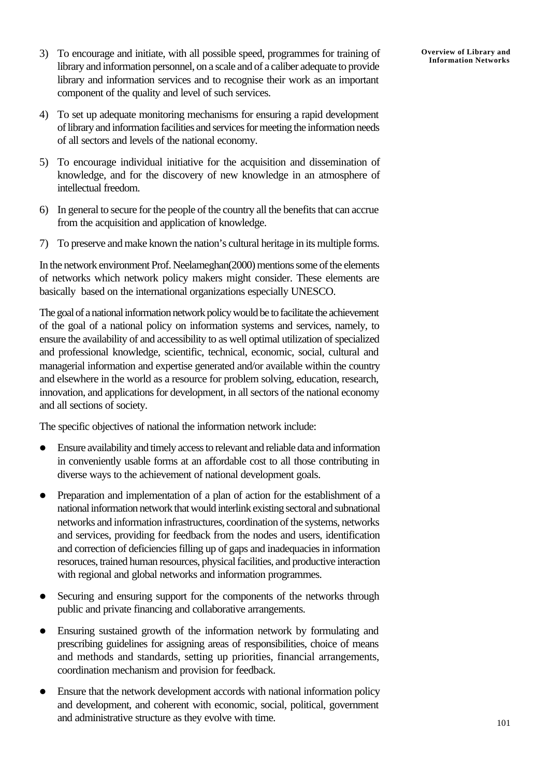- 3) To encourage and initiate, with all possible speed, programmes for training of library and information personnel, on a scale and of a caliber adequate to provide library and information services and to recognise their work as an important component of the quality and level of such services.
- 4) To set up adequate monitoring mechanisms for ensuring a rapid development of library and information facilities and services for meeting the information needs of all sectors and levels of the national economy.
- 5) To encourage individual initiative for the acquisition and dissemination of knowledge, and for the discovery of new knowledge in an atmosphere of intellectual freedom.
- 6) In general to secure for the people of the country all the benefits that can accrue from the acquisition and application of knowledge.
- 7) To preserve and make known the nation's cultural heritage in its multiple forms.

In the network environment Prof. Neelameghan(2000) mentions some of the elements of networks which network policy makers might consider. These elements are basically based on the international organizations especially UNESCO.

The goal of a national information network policy would be to facilitate the achievement of the goal of a national policy on information systems and services, namely, to ensure the availability of and accessibility to as well optimal utilization of specialized and professional knowledge, scientific, technical, economic, social, cultural and managerial information and expertise generated and/or available within the country and elsewhere in the world as a resource for problem solving, education, research, innovation, and applications for development, in all sectors of the national economy and all sections of society.

The specific objectives of national the information network include:

- l Ensure availability and timely access to relevant and reliable data and information in conveniently usable forms at an affordable cost to all those contributing in diverse ways to the achievement of national development goals.
- Preparation and implementation of a plan of action for the establishment of a national information network that would interlink existing sectoral and subnational networks and information infrastructures, coordination of the systems, networks and services, providing for feedback from the nodes and users, identification and correction of deficiencies filling up of gaps and inadequacies in information resoruces, trained human resources, physical facilities, and productive interaction with regional and global networks and information programmes.
- Securing and ensuring support for the components of the networks through public and private financing and collaborative arrangements.
- Ensuring sustained growth of the information network by formulating and prescribing guidelines for assigning areas of responsibilities, choice of means and methods and standards, setting up priorities, financial arrangements, coordination mechanism and provision for feedback.
- Ensure that the network development accords with national information policy and development, and coherent with economic, social, political, government and administrative structure as they evolve with time.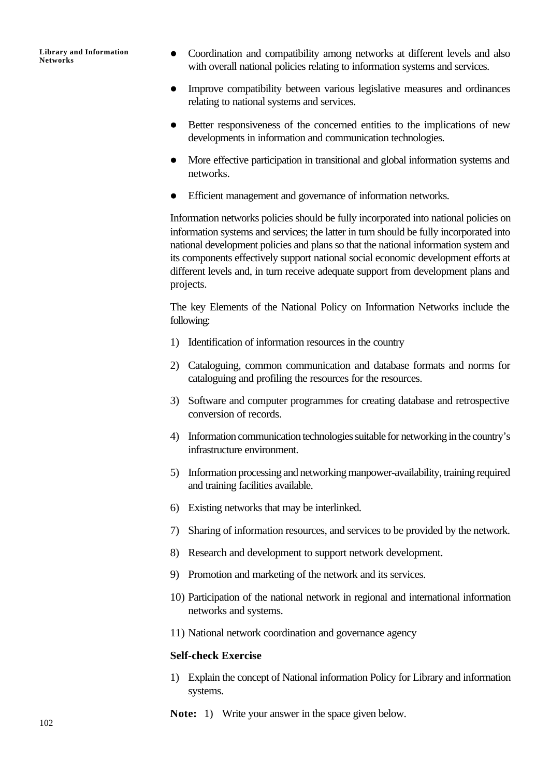- Coordination and compatibility among networks at different levels and also with overall national policies relating to information systems and services.
- Improve compatibility between various legislative measures and ordinances relating to national systems and services.
- Better responsiveness of the concerned entities to the implications of new developments in information and communication technologies.
- More effective participation in transitional and global information systems and networks.
- Efficient management and governance of information networks.

Information networks policies should be fully incorporated into national policies on information systems and services; the latter in turn should be fully incorporated into national development policies and plans so that the national information system and its components effectively support national social economic development efforts at different levels and, in turn receive adequate support from development plans and projects.

The key Elements of the National Policy on Information Networks include the following:

- 1) Identification of information resources in the country
- 2) Cataloguing, common communication and database formats and norms for cataloguing and profiling the resources for the resources.
- 3) Software and computer programmes for creating database and retrospective conversion of records.
- 4) Information communication technologies suitable for networking in the country's infrastructure environment.
- 5) Information processing and networking manpower-availability, training required and training facilities available.
- 6) Existing networks that may be interlinked.
- 7) Sharing of information resources, and services to be provided by the network.
- 8) Research and development to support network development.
- 9) Promotion and marketing of the network and its services.
- 10) Participation of the national network in regional and international information networks and systems.
- 11) National network coordination and governance agency

#### **Self-check Exercise**

- 1) Explain the concept of National information Policy for Library and information systems.
- **Note:** 1) Write your answer in the space given below.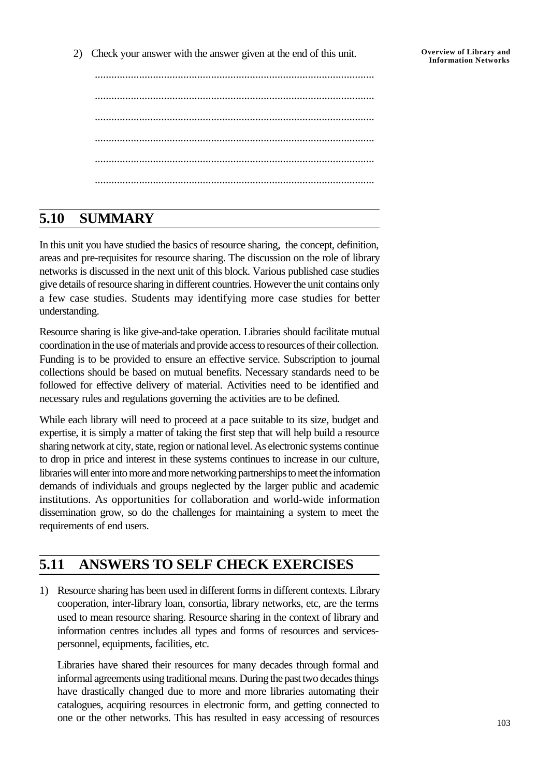..................................................................................................... ..................................................................................................... ..................................................................................................... ..................................................................................................... ..................................................................................................... .....................................................................................................

## **5.10 SUMMARY**

In this unit you have studied the basics of resource sharing, the concept, definition, areas and pre-requisites for resource sharing. The discussion on the role of library networks is discussed in the next unit of this block. Various published case studies give details of resource sharing in different countries. However the unit contains only a few case studies. Students may identifying more case studies for better understanding.

Resource sharing is like give-and-take operation. Libraries should facilitate mutual coordination in the use of materials and provide access to resources of their collection. Funding is to be provided to ensure an effective service. Subscription to journal collections should be based on mutual benefits. Necessary standards need to be followed for effective delivery of material. Activities need to be identified and necessary rules and regulations governing the activities are to be defined.

While each library will need to proceed at a pace suitable to its size, budget and expertise, it is simply a matter of taking the first step that will help build a resource sharing network at city, state, region or national level. As electronic systems continue to drop in price and interest in these systems continues to increase in our culture, libraries will enter into more and more networking partnerships to meet the information demands of individuals and groups neglected by the larger public and academic institutions. As opportunities for collaboration and world-wide information dissemination grow, so do the challenges for maintaining a system to meet the requirements of end users.

## **5.11 ANSWERS TO SELF CHECK EXERCISES**

1) Resource sharing has been used in different forms in different contexts. Library cooperation, inter-library loan, consortia, library networks, etc, are the terms used to mean resource sharing. Resource sharing in the context of library and information centres includes all types and forms of resources and servicespersonnel, equipments, facilities, etc.

Libraries have shared their resources for many decades through formal and informal agreements using traditional means. During the past two decades things have drastically changed due to more and more libraries automating their catalogues, acquiring resources in electronic form, and getting connected to one or the other networks. This has resulted in easy accessing of resources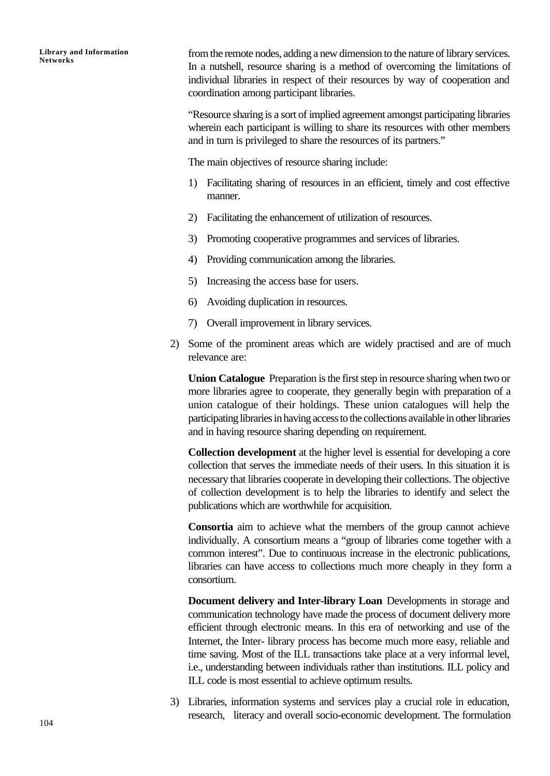from the remote nodes, adding a new dimension to the nature of library services. In a nutshell, resource sharing is a method of overcoming the limitations of individual libraries in respect of their resources by way of cooperation and coordination among participant libraries.

"Resource sharing is a sort of implied agreement amongst participating libraries wherein each participant is willing to share its resources with other members and in turn is privileged to share the resources of its partners."

The main objectives of resource sharing include:

- 1) Facilitating sharing of resources in an efficient, timely and cost effective manner.
- 2) Facilitating the enhancement of utilization of resources.
- 3) Promoting cooperative programmes and services of libraries.
- 4) Providing communication among the libraries.
- 5) Increasing the access base for users.
- 6) Avoiding duplication in resources.
- 7) Overall improvement in library services.
- 2) Some of the prominent areas which are widely practised and are of much relevance are:

**Union Catalogue** Preparation is the first step in resource sharing when two or more libraries agree to cooperate, they generally begin with preparation of a union catalogue of their holdings. These union catalogues will help the participating libraries in having access to the collections available in other libraries and in having resource sharing depending on requirement.

**Collection development** at the higher level is essential for developing a core collection that serves the immediate needs of their users. In this situation it is necessary that libraries cooperate in developing their collections. The objective of collection development is to help the libraries to identify and select the publications which are worthwhile for acquisition.

**Consortia** aim to achieve what the members of the group cannot achieve individually. A consortium means a "group of libraries come together with a common interest". Due to continuous increase in the electronic publications, libraries can have access to collections much more cheaply in they form a consortium.

**Document delivery and Inter-library Loan** Developments in storage and communication technology have made the process of document delivery more efficient through electronic means. In this era of networking and use of the Internet, the Inter- library process has become much more easy, reliable and time saving. Most of the ILL transactions take place at a very informal level, i.e., understanding between individuals rather than institutions. ILL policy and ILL code is most essential to achieve optimum results.

3) Libraries, information systems and services play a crucial role in education, research, literacy and overall socio-economic development. The formulation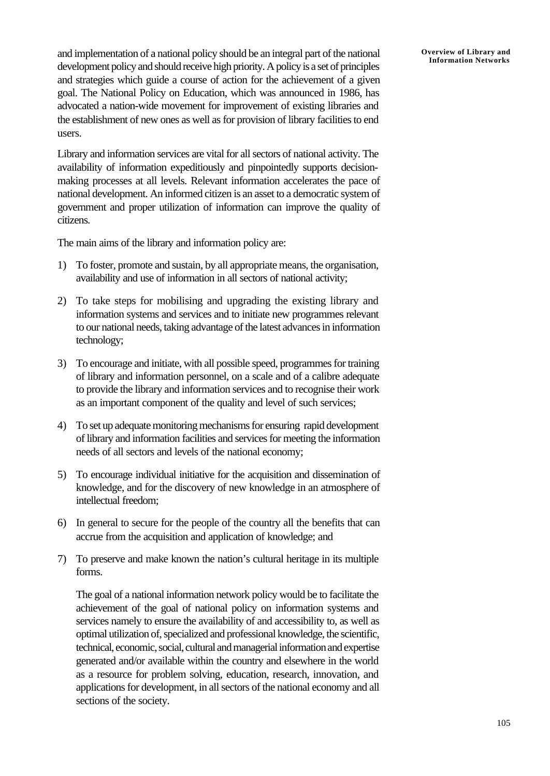and implementation of a national policy should be an integral part of the national development policy and should receive high priority. A policy is a set of principles and strategies which guide a course of action for the achievement of a given goal. The National Policy on Education, which was announced in 1986, has advocated a nation-wide movement for improvement of existing libraries and the establishment of new ones as well as for provision of library facilities to end users.

Library and information services are vital for all sectors of national activity. The availability of information expeditiously and pinpointedly supports decisionmaking processes at all levels. Relevant information accelerates the pace of national development. An informed citizen is an asset to a democratic system of government and proper utilization of information can improve the quality of citizens.

The main aims of the library and information policy are:

- 1) To foster, promote and sustain, by all appropriate means, the organisation, availability and use of information in all sectors of national activity;
- 2) To take steps for mobilising and upgrading the existing library and information systems and services and to initiate new programmes relevant to our national needs, taking advantage of the latest advances in information technology;
- 3) To encourage and initiate, with all possible speed, programmes for training of library and information personnel, on a scale and of a calibre adequate to provide the library and information services and to recognise their work as an important component of the quality and level of such services;
- 4) To set up adequate monitoring mechanisms for ensuring rapid development of library and information facilities and services for meeting the information needs of all sectors and levels of the national economy;
- 5) To encourage individual initiative for the acquisition and dissemination of knowledge, and for the discovery of new knowledge in an atmosphere of intellectual freedom;
- 6) In general to secure for the people of the country all the benefits that can accrue from the acquisition and application of knowledge; and
- 7) To preserve and make known the nation's cultural heritage in its multiple forms.

The goal of a national information network policy would be to facilitate the achievement of the goal of national policy on information systems and services namely to ensure the availability of and accessibility to, as well as optimal utilization of, specialized and professional knowledge, the scientific, technical, economic, social, cultural and managerial information and expertise generated and/or available within the country and elsewhere in the world as a resource for problem solving, education, research, innovation, and applications for development, in all sectors of the national economy and all sections of the society.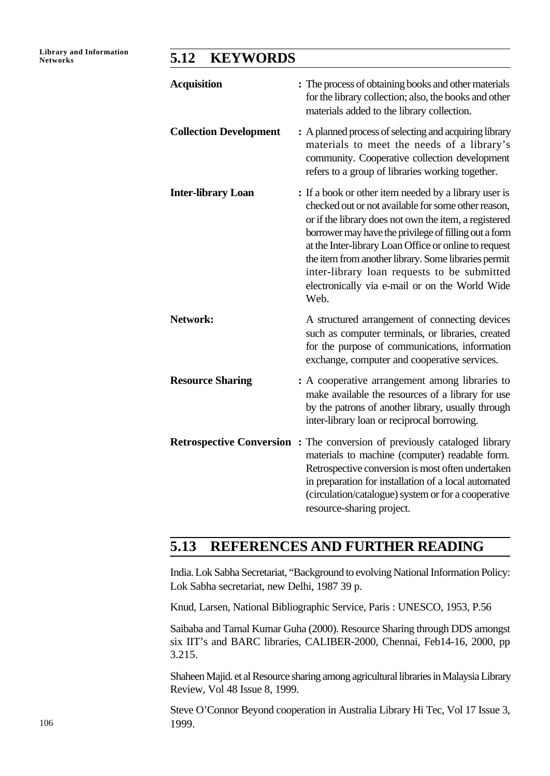### **Networks 5.12 KEYWORDS**

| <b>Acquisition</b>            | : The process of obtaining books and other materials<br>for the library collection; also, the books and other<br>materials added to the library collection.                                                                                                                                                                                                                                                                                              |
|-------------------------------|----------------------------------------------------------------------------------------------------------------------------------------------------------------------------------------------------------------------------------------------------------------------------------------------------------------------------------------------------------------------------------------------------------------------------------------------------------|
| <b>Collection Development</b> | : A planned process of selecting and acquiring library<br>materials to meet the needs of a library's<br>community. Cooperative collection development<br>refers to a group of libraries working together.                                                                                                                                                                                                                                                |
| <b>Inter-library Loan</b>     | : If a book or other item needed by a library user is<br>checked out or not available for some other reason,<br>or if the library does not own the item, a registered<br>borrower may have the privilege of filling out a form<br>at the Inter-library Loan Office or online to request<br>the item from another library. Some libraries permit<br>inter-library loan requests to be submitted<br>electronically via e-mail or on the World Wide<br>Web. |
| Network:                      | A structured arrangement of connecting devices<br>such as computer terminals, or libraries, created<br>for the purpose of communications, information<br>exchange, computer and cooperative services.                                                                                                                                                                                                                                                    |
| <b>Resource Sharing</b>       | : A cooperative arrangement among libraries to<br>make available the resources of a library for use<br>by the patrons of another library, usually through<br>inter-library loan or reciprocal borrowing.                                                                                                                                                                                                                                                 |
|                               | <b>Retrospective Conversion:</b> The conversion of previously cataloged library<br>materials to machine (computer) readable form.<br>Retrospective conversion is most often undertaken<br>in preparation for installation of a local automated<br>(circulation/catalogue) system or for a cooperative<br>resource-sharing project.                                                                                                                       |

## **5.13 REFERENCES AND FURTHER READING**

India. Lok Sabha Secretariat, "Background to evolving National Information Policy: Lok Sabha secretariat, new Delhi, 1987 39 p.

Knud, Larsen, National Bibliographic Service, Paris : UNESCO, 1953, P.56

Saibaba and Tamal Kumar Guha (2000). Resource Sharing through DDS amongst six IIT's and BARC libraries, CALIBER-2000, Chennai, Feb14-16, 2000, pp 3.215.

Shaheen Majid. et al Resource sharing among agricultural libraries in Malaysia Library Review, Vol 48 Issue 8, 1999.

Steve O'Connor Beyond cooperation in Australia Library Hi Tec, Vol 17 Issue 3, 1999.